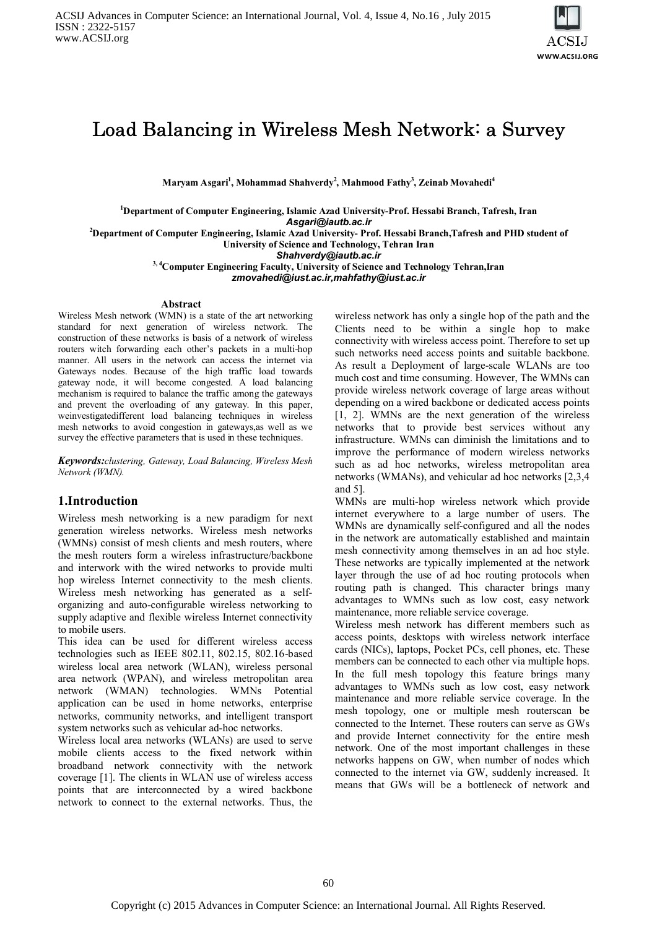

# Load Balancing in Wireless Mesh Network: a Survey

**Maryam Asgari<sup>1</sup> , Mohammad Shahverdy<sup>2</sup> , Mahmood Fathy<sup>3</sup> , Zeinab Movahedi<sup>4</sup>**

**<sup>1</sup>Department of Computer Engineering, Islamic Azad University-Prof. Hessabi Branch, Tafresh, Iran**

*Asgari@iautb.ac.ir*

**<sup>2</sup>Department of Computer Engineering, Islamic Azad University- Prof. Hessabi Branch,Tafresh and PHD student of University of Science and Technology, Tehran Iran**

*Shahverdy@iautb.ac.ir*

**3, 4Computer Engineering Faculty, University of Science and Technology Tehran,Iran** *zmovahedi@iust.ac.ir,mahfathy@iust.ac.ir*

#### **Abstract**

Wireless Mesh network (WMN) is a state of the art networking standard for next generation of wireless network. The construction of these networks is basis of a network of wireless routers witch forwarding each other's packets in a multi-hop manner. All users in the network can access the internet via Gateways nodes. Because of the high traffic load towards gateway node, it will become congested. A load balancing mechanism is required to balance the traffic among the gateways and prevent the overloading of any gateway. In this paper, weinvestigatedifferent load balancing techniques in wireless mesh networks to avoid congestion in gateways,as well as we survey the effective parameters that is used in these techniques.

*Keywords:clustering, Gateway, Load Balancing, Wireless Mesh Network (WMN).*

## **1.Introduction**

Wireless mesh networking is a new paradigm for next generation wireless networks. Wireless mesh networks (WMNs) consist of mesh clients and mesh routers, where the mesh routers form a wireless infrastructure/backbone and interwork with the wired networks to provide multi hop wireless Internet connectivity to the mesh clients. Wireless mesh networking has generated as a selforganizing and auto-configurable wireless networking to supply adaptive and flexible wireless Internet connectivity to mobile users.

This idea can be used for different wireless access technologies such as IEEE 802.11, 802.15, 802.16-based wireless local area network (WLAN), wireless personal area network (WPAN), and wireless metropolitan area network (WMAN) technologies. WMNs Potential application can be used in home networks, enterprise networks, community networks, and intelligent transport system networks such as vehicular ad-hoc networks.

Wireless local area networks (WLANs) are used to serve mobile clients access to the fixed network within broadband network connectivity with the network coverage [1]. The clients in WLAN use of wireless access points that are interconnected by a wired backbone network to connect to the external networks. Thus, the

wireless network has only a single hop of the path and the Clients need to be within a single hop to make connectivity with wireless access point. Therefore to set up such networks need access points and suitable backbone. As result a Deployment of large-scale WLANs are too much cost and time consuming. However, The WMNs can provide wireless network coverage of large areas without depending on a wired backbone or dedicated access points [1, 2]. WMNs are the next generation of the wireless networks that to provide best services without any infrastructure. WMNs can diminish the limitations and to improve the performance of modern wireless networks such as ad hoc networks, wireless metropolitan area networks (WMANs), and vehicular ad hoc networks [2,3,4 and 5].

WMNs are multi-hop wireless network which provide internet everywhere to a large number of users. The WMNs are dynamically self-configured and all the nodes in the network are automatically established and maintain mesh connectivity among themselves in an ad hoc style. These networks are typically implemented at the network layer through the use of ad hoc routing protocols when routing path is changed. This character brings many advantages to WMNs such as low cost, easy network maintenance, more reliable service coverage.

Wireless mesh network has different members such as access points, desktops with wireless network interface cards (NICs), laptops, Pocket PCs, cell phones, etc. These members can be connected to each other via multiple hops. In the full mesh topology this feature brings many advantages to WMNs such as low cost, easy network maintenance and more reliable service coverage. In the mesh topology, one or multiple mesh routerscan be connected to the Internet. These routers can serve as GWs and provide Internet connectivity for the entire mesh network. One of the most important challenges in these networks happens on GW, when number of nodes which connected to the internet via GW, suddenly increased. It means that GWs will be a bottleneck of network and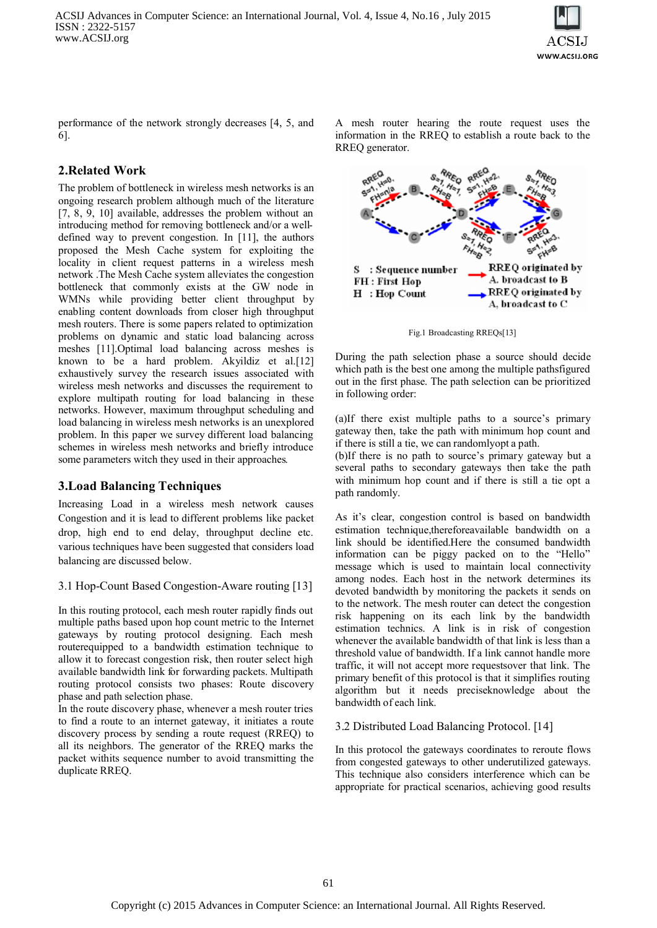

performance of the network strongly decreases [4, 5, and 6].

# **2.Related Work**

The problem of bottleneck in wireless mesh networks is an ongoing research problem although much of the literature [7, 8, 9, 10] available, addresses the problem without an introducing method for removing bottleneck and/or a welldefined way to prevent congestion. In [11], the authors proposed the Mesh Cache system for exploiting the locality in client request patterns in a wireless mesh network .The Mesh Cache system alleviates the congestion bottleneck that commonly exists at the GW node in WMNs while providing better client throughput by enabling content downloads from closer high throughput mesh routers. There is some papers related to optimization problems on dynamic and static load balancing across meshes [11].Optimal load balancing across meshes is known to be a hard problem. Akyildiz et al.[12] exhaustively survey the research issues associated with wireless mesh networks and discusses the requirement to explore multipath routing for load balancing in these networks. However, maximum throughput scheduling and load balancing in wireless mesh networks is an unexplored problem. In this paper we survey different load balancing schemes in wireless mesh networks and briefly introduce some parameters witch they used in their approaches.

## **3.Load Balancing Techniques**

Increasing Load in a wireless mesh network causes Congestion and it is lead to different problems like packet drop, high end to end delay, throughput decline etc. various techniques have been suggested that considers load balancing are discussed below.

## 3.1 Hop-Count Based Congestion-Aware routing [13]

In this routing protocol, each mesh router rapidly finds out multiple paths based upon hop count metric to the Internet gateways by routing protocol designing. Each mesh routerequipped to a bandwidth estimation technique to allow it to forecast congestion risk, then router select high available bandwidth link for forwarding packets. Multipath routing protocol consists two phases: Route discovery phase and path selection phase.

In the route discovery phase, whenever a mesh router tries to find a route to an internet gateway, it initiates a route discovery process by sending a route request (RREQ) to all its neighbors. The generator of the RREQ marks the packet withits sequence number to avoid transmitting the duplicate RREQ.

A mesh router hearing the route request uses the information in the RREQ to establish a route back to the RREQ generator.



Fig.1 Broadcasting RREQs[13]

During the path selection phase a source should decide which path is the best one among the multiple pathsfigured out in the first phase. The path selection can be prioritized in following order:

(a)If there exist multiple paths to a source's primary gateway then, take the path with minimum hop count and if there is still a tie, we can randomlyopt a path.

(b)If there is no path to source's primary gateway but a several paths to secondary gateways then take the path with minimum hop count and if there is still a tie opt a path randomly.

As it's clear, congestion control is based on bandwidth estimation technique,thereforeavailable bandwidth on a link should be identified.Here the consumed bandwidth information can be piggy packed on to the "Hello" message which is used to maintain local connectivity among nodes. Each host in the network determines its devoted bandwidth by monitoring the packets it sends on to the network. The mesh router can detect the congestion risk happening on its each link by the bandwidth estimation technics. A link is in risk of congestion whenever the available bandwidth of that link is less than a threshold value of bandwidth. If a link cannot handle more traffic, it will not accept more requestsover that link. The primary benefit of this protocol is that it simplifies routing algorithm but it needs preciseknowledge about the bandwidth of each link.

## 3.2 Distributed Load Balancing Protocol. [14]

In this protocol the gateways coordinates to reroute flows from congested gateways to other underutilized gateways. This technique also considers interference which can be appropriate for practical scenarios, achieving good results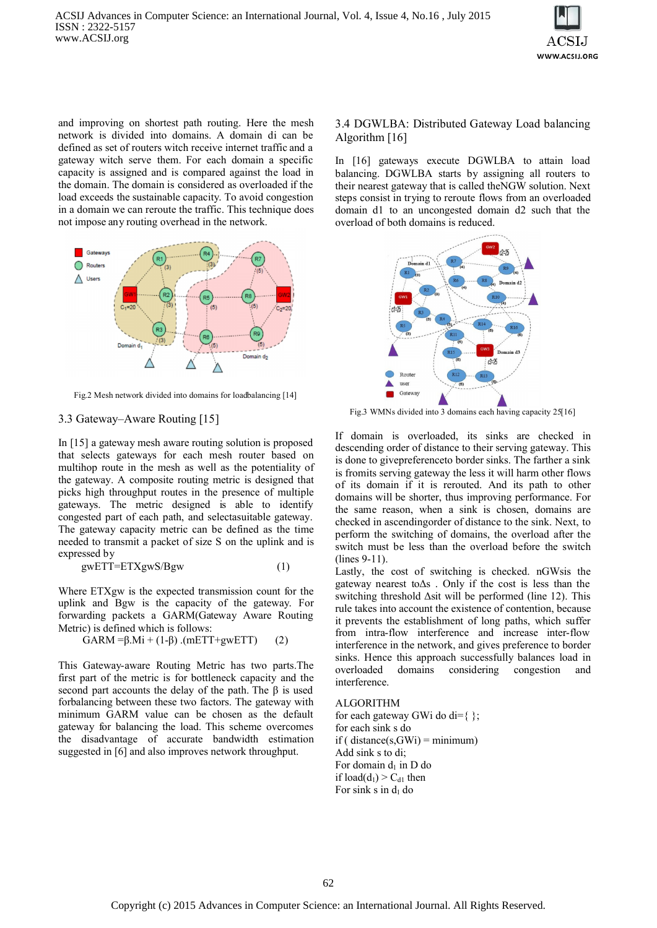

and improving on shortest path routing. Here the mesh network is divided into domains. A domain di can be defined as set of routers witch receive internet traffic and a gateway witch serve them. For each domain a specific capacity is assigned and is compared against the load in the domain. The domain is considered as overloaded if the load exceeds the sustainable capacity. To avoid congestion in a domain we can reroute the traffic. This technique does not impose any routing overhead in the network.



Fig.2 Mesh network divided into domains for loadbalancing [14]

#### 3.3 Gateway–Aware Routing [15]

In [15] a gateway mesh aware routing solution is proposed that selects gateways for each mesh router based on multihop route in the mesh as well as the potentiality of the gateway. A composite routing metric is designed that picks high throughput routes in the presence of multiple gateways. The metric designed is able to identify congested part of each path, and selectasuitable gateway. The gateway capacity metric can be defined as the time needed to transmit a packet of size S on the uplink and is expressed by

$$
gwETT=ETXgwS/Bgw
$$
 (1)

Where ETXgw is the expected transmission count for the uplink and Bgw is the capacity of the gateway. For forwarding packets a GARM(Gateway Aware Routing Metric) is defined which is follows:

$$
GARM = \beta.Mi + (1-\beta) \cdot (mETT + gwETT) \tag{2}
$$

This Gateway-aware Routing Metric has two parts.The first part of the metric is for bottleneck capacity and the second part accounts the delay of the path. The  $\beta$  is used forbalancing between these two factors. The gateway with minimum GARM value can be chosen as the default gateway for balancing the load. This scheme overcomes the disadvantage of accurate bandwidth estimation suggested in [6] and also improves network throughput.

#### 3.4 DGWLBA: Distributed Gateway Load balancing Algorithm [16]

In [16] gateways execute DGWLBA to attain load balancing. DGWLBA starts by assigning all routers to their nearest gateway that is called theNGW solution. Next steps consist in trying to reroute flows from an overloaded domain d1 to an uncongested domain d2 such that the overload of both domains is reduced.



Fig.3 WMNs divided into 3 domains each having capacity 25[16]

If domain is overloaded, its sinks are checked in descending order of distance to their serving gateway. This is done to givepreferenceto border sinks. The farther a sink is fromits serving gateway the less it will harm other flows of its domain if it is rerouted. And its path to other domains will be shorter, thus improving performance. For the same reason, when a sink is chosen, domains are checked in ascendingorder of distance to the sink. Next, to perform the switching of domains, the overload after the switch must be less than the overload before the switch (lines 9-11).

Lastly, the cost of switching is checked. nGWsis the gateway nearest toΔs . Only if the cost is less than the switching threshold Δsit will be performed (line 12). This rule takes into account the existence of contention, because it prevents the establishment of long paths, which suffer from intra-flow interference and increase inter-flow interference in the network, and gives preference to border sinks. Hence this approach successfully balances load in overloaded domains considering congestion and interference.

#### ALGORITHM

for each gateway GWi do di= $\{\}$ ; for each sink s do  $if (distance(s, GWi) = minimum)$ Add sink s to di; For domain  $d_1$  in D do if  $load(d_1) > C_{d1}$  then For sink s in  $d_1$  do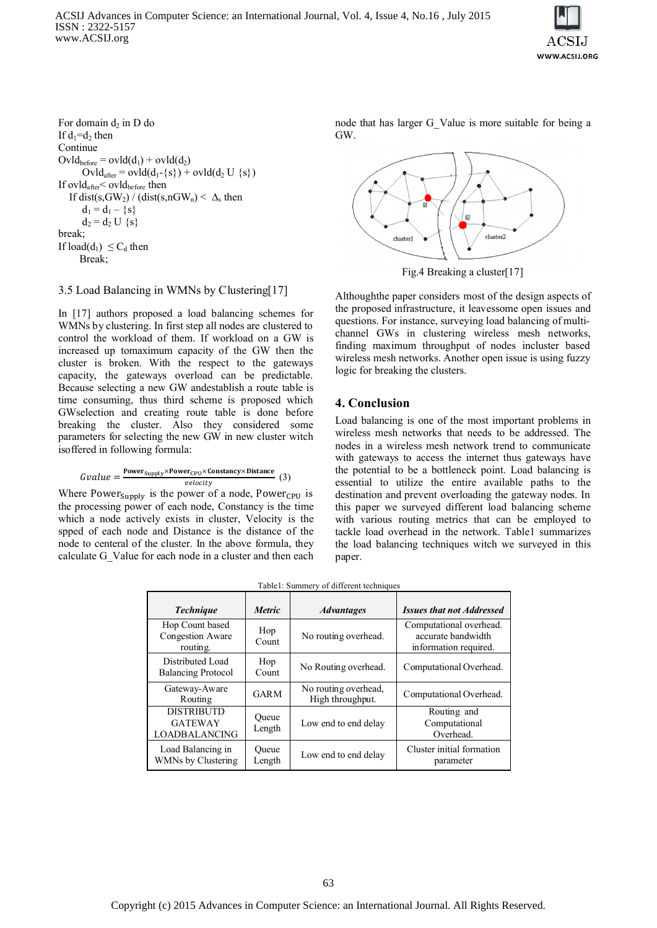ACSIJ Advances in Computer Science: an International Journal, Vol. 4, Issue 4, No.16 , July 2015 ISSN : 2322-5157 www.ACSIJ.org



For domain  $d_2$  in D do If  $d_1 = d_2$  then **Continue**  $Ovl_{before} = ovl_{d(d_1)} + ovl_{d(d_2)}$  $Ovl_{after} = ovl_{d(d_1 - {s}) + ovl_{d(d_2 U {s})}$ If  $ovld_{after} < \mathrm{ovld}_{before}$  then If dist(s, GW<sub>2</sub>) / (dist(s, nGW<sub>n</sub>) <  $\Delta$ <sub>s</sub> then  $d_1 = d_1 - \{s\}$  $d_2 = d_2 U$  {s} break; If  $load(d_1) \leq C_d$  then Break;

#### 3.5 Load Balancing in WMNs by Clustering[17]

In [17] authors proposed a load balancing schemes for WMNs by clustering. In first step all nodes are clustered to control the workload of them. If workload on a GW is increased up tomaximum capacity of the GW then the cluster is broken. With the respect to the gateways capacity, the gateways overload can be predictable. Because selecting a new GW andestablish a route table is time consuming, thus third scheme is proposed which GWselection and creating route table is done before breaking the cluster. Also they considered some parameters for selecting the new GW in new cluster witch isoffered in following formula:

$$
Gvalue = \frac{\text{Power}_{\text{Supply}} \times \text{Power}_{\text{CPU}} \times \text{Constanty} \times \text{Distance}}{velocity} \tag{3}
$$

Where Power  $_{\text{Supply}}$  is the power of a node, Power  $_{\text{CPU}}$  is the processing power of each node, Constancy is the time which a node actively exists in cluster, Velocity is the spped of each node and Distance is the distance of the node to centeral of the cluster. In the above formula, they calculate G\_Value for each node in a cluster and then each node that has larger G\_Value is more suitable for being a GW.



Fig.4 Breaking a cluster[17]

Althoughthe paper considers most of the design aspects of the proposed infrastructure, it leavessome open issues and questions. For instance, surveying load balancing of multichannel GWs in clustering wireless mesh networks, finding maximum throughput of nodes incluster based wireless mesh networks. Another open issue is using fuzzy logic for breaking the clusters.

### **4. Conclusion**

Load balancing is one of the most important problems in wireless mesh networks that needs to be addressed. The nodes in a wireless mesh network trend to communicate with gateways to access the internet thus gateways have the potential to be a bottleneck point. Load balancing is essential to utilize the entire available paths to the destination and prevent overloading the gateway nodes. In this paper we surveyed different load balancing scheme with various routing metrics that can be employed to tackle load overhead in the network. Table1 summarizes the load balancing techniques witch we surveyed in this paper.

| <b>Technique</b>                                            | <i>Metric</i>   | <b>Advantages</b>                        | <b>Issues that not Addressed</b>                                       |
|-------------------------------------------------------------|-----------------|------------------------------------------|------------------------------------------------------------------------|
| Hop Count based<br>Congestion Aware<br>routing.             | Hop<br>Count    | No routing overhead.                     | Computational overhead.<br>accurate bandwidth<br>information required. |
| Distributed Load<br><b>Balancing Protocol</b>               | Hop<br>Count    | No Routing overhead.                     | Computational Overhead.                                                |
| Gateway-Aware<br>Routing                                    | <b>GARM</b>     | No routing overhead,<br>High throughput. | Computational Overhead.                                                |
| <b>DISTRIBUTD</b><br><b>GATEWAY</b><br><b>LOADBALANCING</b> | Oueue<br>Length | Low end to end delay                     | Routing and<br>Computational<br>Overhead.                              |
| Load Balancing in<br>WMNs by Clustering                     | Oueue<br>Length | Low end to end delay                     | Cluster initial formation<br>parameter                                 |

Table1: Summery of different techniques